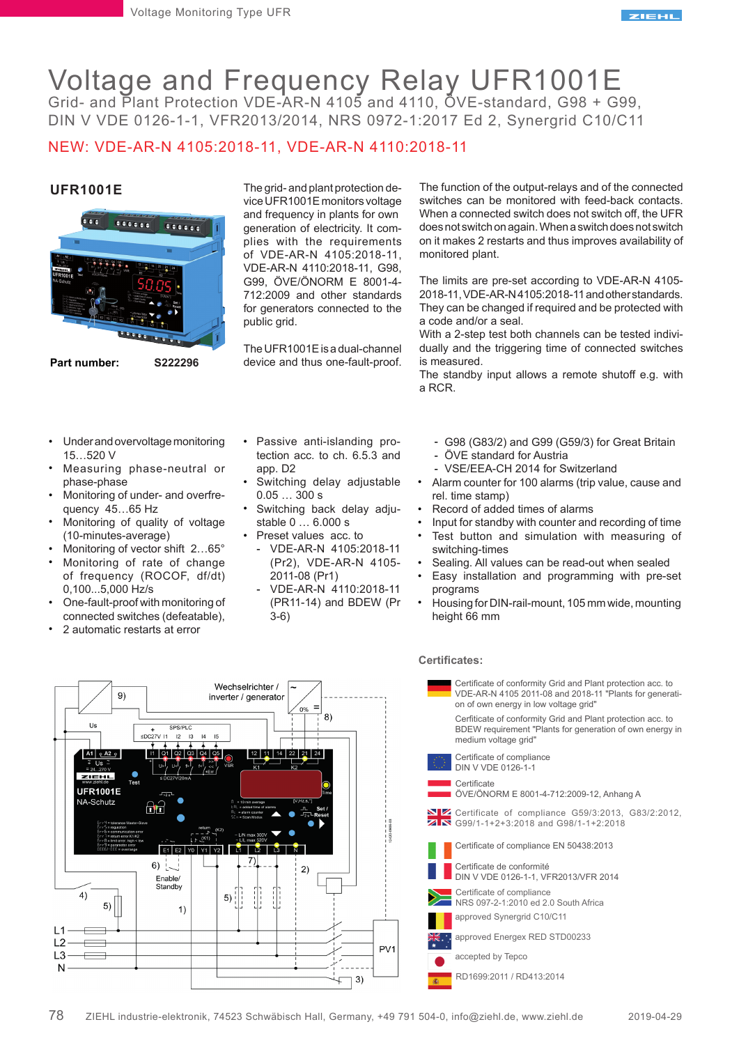

# Voltage and Frequency Relay UFR1001E Grid- and Plant Protection VDE-AR-N 4105 and 4110, ÖVE-standard, G98 + G99,

DIN V VDE 0126-1-1, VFR2013/2014, NRS 0972-1:2017 Ed 2, Synergrid C10/C11

# NEW: VDE-AR-N 4105:2018-11, VDE-AR-N 4110:2018-11

### **UFR1001E**



**Part number: S222296**

#### • Under and overvoltage monitoring 15…520 V

- Measuring phase-neutral or phase-phase
- Monitoring of under- and overfrequency 45…65 Hz
- Monitoring of quality of voltage (10-minutes-average)
- Monitoring of vector shift 2…65°
- Monitoring of rate of change of frequency (ROCOF, df/dt) 0,100...5,000 Hz/s
- One-fault-proof with monitoring of connected switches (defeatable),
- 2 automatic restarts at error

 $4)$ 

L1  $12$ 

 $L<sub>3</sub>$ N The grid- and plant protection device UFR1001E monitors voltage and frequency in plants for own generation of electricity. It complies with the requirements of VDE-AR-N 4105:2018-11, VDE-AR-N 4110:2018-11, G98, G99, ÖVE/ÖNORM E 8001-4- 712:2009 and other standards for generators connected to the public grid.

The UFR1001E is a dual-channel device and thus one-fault-proof.

Passive anti-islanding pro-• tection acc. to ch. 6.5.3 and

Switching delay adjustable

Switching back delay adju-

VDE-AR-N 4105:2018-11 - (Pr2), VDE-AR-N 4105-

VDE-AR-N 4110:2018-11 - (PR11-14) and BDEW (Pr

app. D2

•

•

•

0.05 … 300 s

stable 0 … 6.000 s Preset values acc. to

2011-08 (Pr1)

3-6)

The function of the output-relays and of the connected switches can be monitored with feed-back contacts. When a connected switch does not switch off, the UFR does not switch on again. When a switch does not switch on it makes 2 restarts and thus improves availability of monitored plant.

The limits are pre-set according to VDE-AR-N 4105- 2018-11, VDE-AR-N 4105:2018-11 and other standards. They can be changed if required and be protected with a code and/or a seal.

With a 2-step test both channels can be tested individually and the triggering time of connected switches is measured.

The standby input allows a remote shutoff e.g. with a RCR.

- G98 (G83/2) and G99 (G59/3) for Great Britain -
- ÖVE standard for Austria -
- VSE/EEA-CH 2014 for Switzerland -
- Alarm counter for 100 alarms (trip value, cause and rel. time stamp) •
- Record of added times of alarms •
- Input for standby with counter and recording of time •
- Test button and simulation with measuring of switching-times •
- Sealing. All values can be read-out when sealed •
- Easy installation and programming with pre-set programs •
- Housing for DIN-rail-mount, 105 mm wide, mounting height 66 mm •

### **Certificates:**